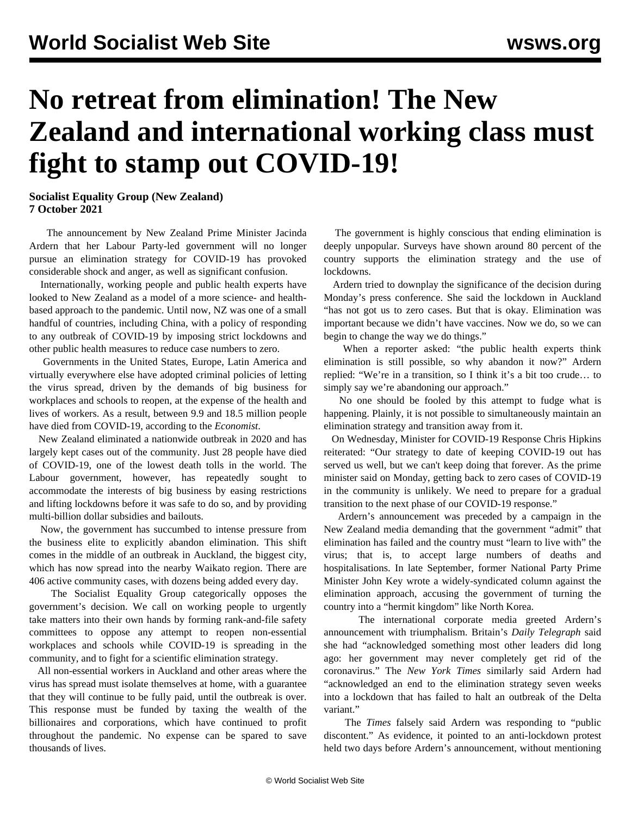## **No retreat from elimination! The New Zealand and international working class must fight to stamp out COVID-19!**

**Socialist Equality Group (New Zealand) 7 October 2021**

 The [announcement](/en/articles/2021/10/06/elim-o06.html) by New Zealand Prime Minister Jacinda Ardern that her Labour Party-led government will no longer pursue an elimination strategy for COVID-19 has provoked considerable shock and anger, as well as significant confusion.

 Internationally, working people and public health experts have looked to New Zealand as a model of a more science- and healthbased approach to the pandemic. Until now, NZ was one of a small handful of countries, including China, with a policy of responding to any outbreak of COVID-19 by imposing strict lockdowns and other public health measures to reduce case numbers to zero.

 Governments in the United States, Europe, Latin America and virtually everywhere else have adopted criminal policies of letting the virus spread, driven by the demands of big business for workplaces and schools to reopen, at the expense of the health and lives of workers. As a result, between 9.9 and 18.5 million people have died from COVID-19, according to the *Economist*.

 New Zealand eliminated a nationwide outbreak in 2020 and has largely kept cases out of the community. Just 28 people have died of COVID-19, one of the lowest death tolls in the world. The Labour government, however, has repeatedly sought to accommodate the interests of big business by easing restrictions and lifting lockdowns before it was safe to do so, and by providing multi-billion dollar subsidies and bailouts.

 Now, the government has succumbed to intense pressure from the business elite to explicitly abandon elimination. This shift comes in the middle of an outbreak in Auckland, the biggest city, which has now spread into the nearby Waikato region. There are 406 active community cases, with dozens being added every day.

 The Socialist Equality Group categorically opposes the government's decision. We call on working people to urgently take matters into their own hands by forming rank-and-file safety committees to oppose any attempt to reopen non-essential workplaces and schools while COVID-19 is spreading in the community, and to fight for a scientific elimination strategy.

 All non-essential workers in Auckland and other areas where the virus has spread must isolate themselves at home, with a guarantee that they will continue to be fully paid, until the outbreak is over. This response must be funded by taxing the wealth of the billionaires and corporations, which have continued to profit throughout the pandemic. No expense can be spared to save thousands of lives.

 The government is highly conscious that ending elimination is deeply unpopular. Surveys have shown around 80 percent of the country supports the elimination strategy and the use of lockdowns.

 Ardern tried to downplay the significance of the decision during Monday's press conference. She said the lockdown in Auckland "has not got us to zero cases. But that is okay. Elimination was important because we didn't have vaccines. Now we do, so we can begin to change the way we do things."

 When a reporter asked: "the public health experts think elimination is still possible, so why abandon it now?" Ardern replied: "We're in a transition, so I think it's a bit too crude… to simply say we're abandoning our approach."

 No one should be fooled by this attempt to fudge what is happening. Plainly, it is not possible to simultaneously maintain an elimination strategy and transition away from it.

 On Wednesday, Minister for COVID-19 Response Chris Hipkins reiterated: "Our strategy to date of keeping COVID-19 out has served us well, but we can't keep doing that forever. As the prime minister said on Monday, getting back to zero cases of COVID-19 in the community is unlikely. We need to prepare for a gradual transition to the next phase of our COVID-19 response."

 Ardern's announcement was preceded by a campaign in the New Zealand media demanding that the government "admit" that elimination has failed and the country must "learn to live with" the virus; that is, to accept large numbers of deaths and hospitalisations. In late September, former National Party Prime Minister John Key wrote a widely-syndicated column against the elimination approach, accusing the government of turning the country into a "hermit kingdom" like North Korea.

 The international corporate media greeted Ardern's announcement with triumphalism. Britain's *Daily Telegraph* said she had "acknowledged something most other leaders did long ago: her government may never completely get rid of the coronavirus." The *New York Times* similarly said Ardern had "acknowledged an end to the elimination strategy seven weeks into a lockdown that has failed to halt an outbreak of the Delta variant."

 The *Times* falsely said Ardern was responding to "public discontent." As evidence, it pointed to an anti-lockdown protest held two days before Ardern's announcement, without mentioning